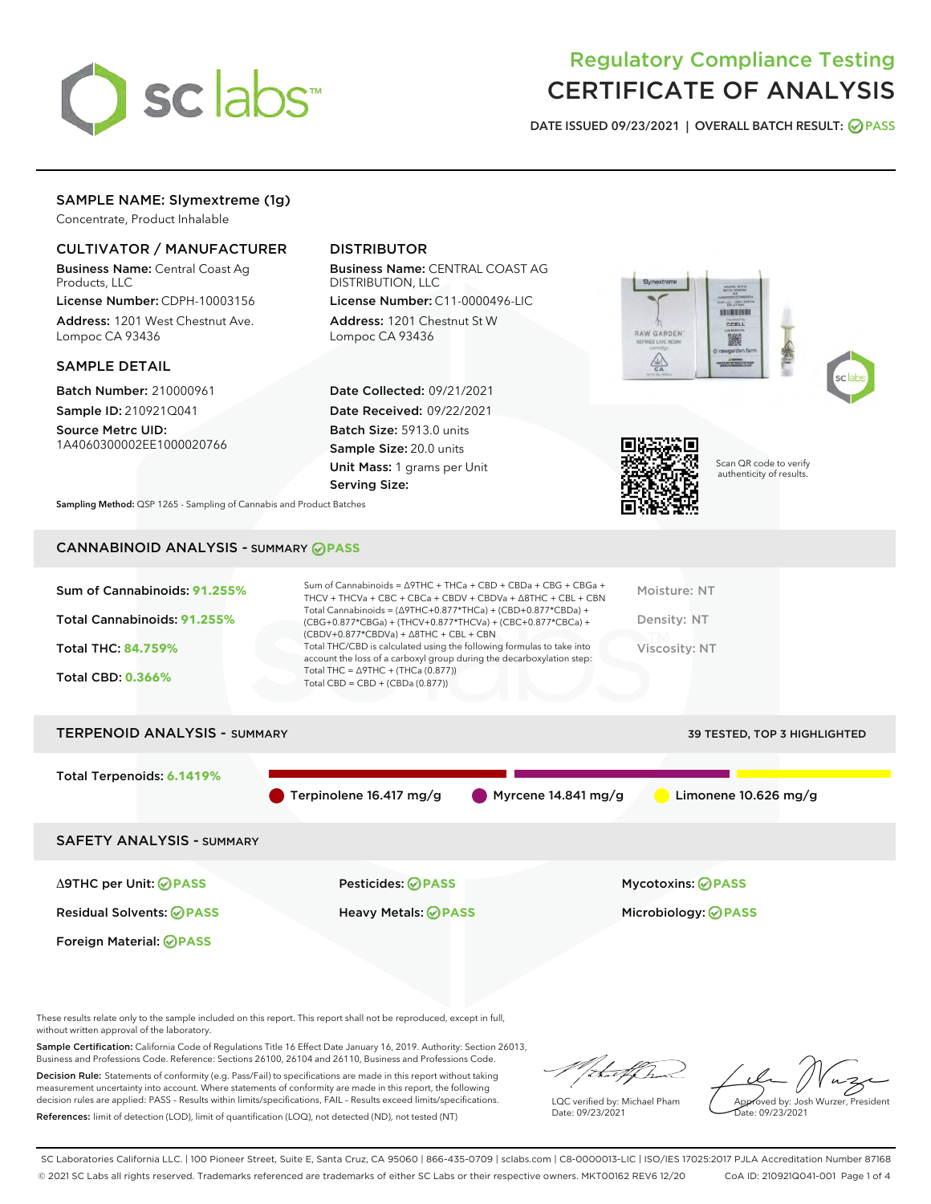

## Regulatory Compliance Testing CERTIFICATE OF ANALYSIS

DATE ISSUED 09/23/2021 | OVERALL BATCH RESULT: @ PASS

## SAMPLE NAME: Slymextreme (1g)

Concentrate, Product Inhalable

## CULTIVATOR / MANUFACTURER

Business Name: Central Coast Ag Products, LLC

License Number: CDPH-10003156 Address: 1201 West Chestnut Ave. Lompoc CA 93436

#### SAMPLE DETAIL

Batch Number: 210000961 Sample ID: 210921Q041

Source Metrc UID: 1A4060300002EE1000020766

## DISTRIBUTOR

Business Name: CENTRAL COAST AG DISTRIBUTION, LLC

License Number: C11-0000496-LIC Address: 1201 Chestnut St W Lompoc CA 93436

Date Collected: 09/21/2021 Date Received: 09/22/2021 Batch Size: 5913.0 units Sample Size: 20.0 units Unit Mass: 1 grams per Unit Serving Size:







Scan QR code to verify authenticity of results.

Sampling Method: QSP 1265 - Sampling of Cannabis and Product Batches

## CANNABINOID ANALYSIS - SUMMARY **PASS**

| Sum of Cannabinoids: 91.255% | Sum of Cannabinoids = $\triangle$ 9THC + THCa + CBD + CBDa + CBG + CBGa +<br>THCV + THCVa + CBC + CBCa + CBDV + CBDVa + $\Delta$ 8THC + CBL + CBN                                    | Moisture: NT  |
|------------------------------|--------------------------------------------------------------------------------------------------------------------------------------------------------------------------------------|---------------|
| Total Cannabinoids: 91.255%  | Total Cannabinoids = $(\Delta$ 9THC+0.877*THCa) + (CBD+0.877*CBDa) +<br>(CBG+0.877*CBGa) + (THCV+0.877*THCVa) + (CBC+0.877*CBCa) +<br>$(CBDV+0.877*CBDVa) + \Delta 8THC + CBL + CBN$ | Density: NT   |
| <b>Total THC: 84.759%</b>    | Total THC/CBD is calculated using the following formulas to take into<br>account the loss of a carboxyl group during the decarboxylation step:                                       | Viscosity: NT |
| <b>Total CBD: 0.366%</b>     | Total THC = $\triangle$ 9THC + (THCa (0.877))<br>Total CBD = $CBD + (CBDa (0.877))$                                                                                                  |               |
|                              |                                                                                                                                                                                      |               |

# TERPENOID ANALYSIS - SUMMARY 39 TESTED, TOP 3 HIGHLIGHTED Total Terpenoids: **6.1419%** Terpinolene 16.417 mg/g Myrcene 14.841 mg/g Limonene 10.626 mg/g SAFETY ANALYSIS - SUMMARY Δ9THC per Unit: **PASS** Pesticides: **PASS** Mycotoxins: **PASS**

Residual Solvents: **PASS** Heavy Metals: **PASS** Microbiology: **PASS**

Foreign Material: **PASS**

These results relate only to the sample included on this report. This report shall not be reproduced, except in full, without written approval of the laboratory.

Sample Certification: California Code of Regulations Title 16 Effect Date January 16, 2019. Authority: Section 26013, Business and Professions Code. Reference: Sections 26100, 26104 and 26110, Business and Professions Code.

Decision Rule: Statements of conformity (e.g. Pass/Fail) to specifications are made in this report without taking measurement uncertainty into account. Where statements of conformity are made in this report, the following decision rules are applied: PASS – Results within limits/specifications, FAIL – Results exceed limits/specifications. References: limit of detection (LOD), limit of quantification (LOQ), not detected (ND), not tested (NT)

that f Tr

LQC verified by: Michael Pham Date: 09/23/2021

Approved by: Josh Wurzer, President ate: 09/23/2021

SC Laboratories California LLC. | 100 Pioneer Street, Suite E, Santa Cruz, CA 95060 | 866-435-0709 | sclabs.com | C8-0000013-LIC | ISO/IES 17025:2017 PJLA Accreditation Number 87168 © 2021 SC Labs all rights reserved. Trademarks referenced are trademarks of either SC Labs or their respective owners. MKT00162 REV6 12/20 CoA ID: 210921Q041-001 Page 1 of 4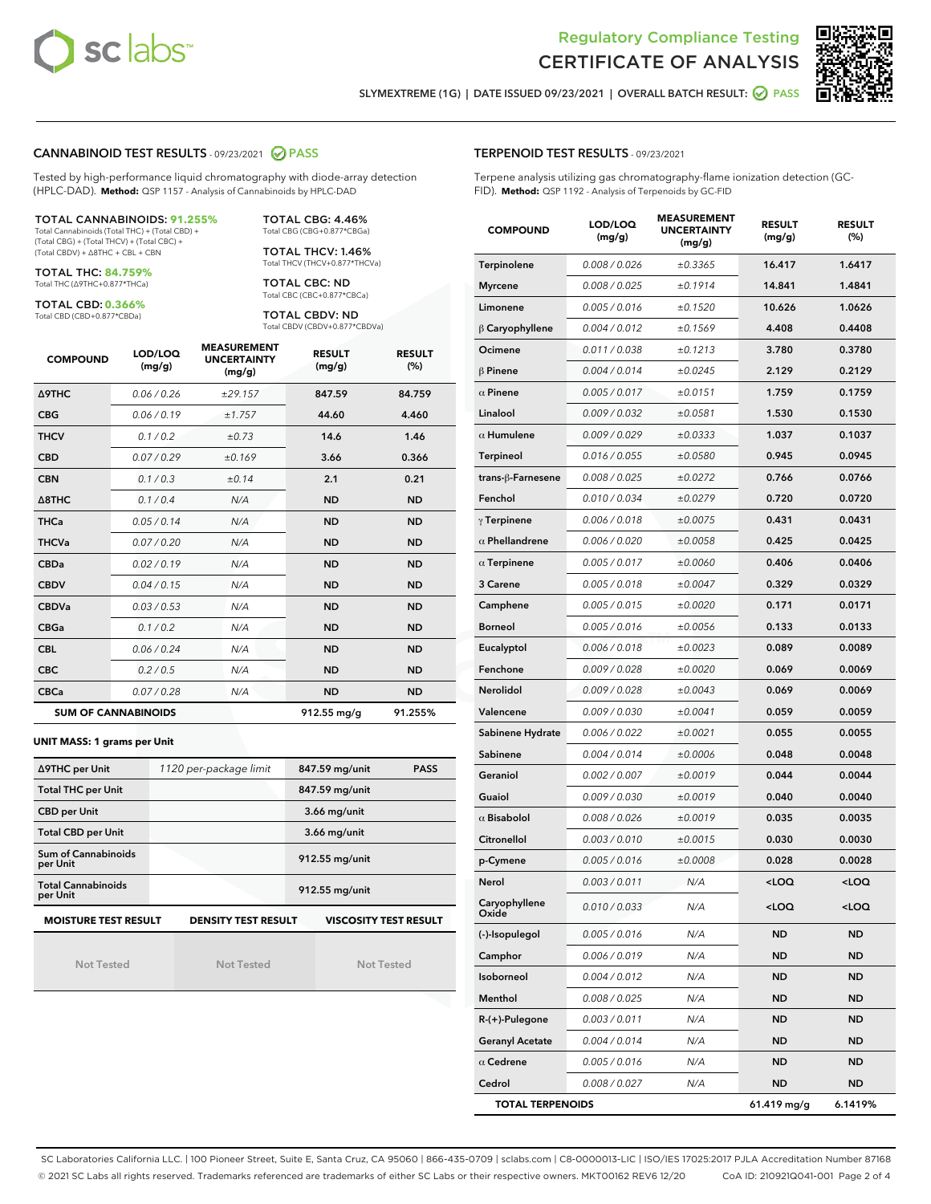



SLYMEXTREME (1G) | DATE ISSUED 09/23/2021 | OVERALL BATCH RESULT: @ PASS

#### CANNABINOID TEST RESULTS - 09/23/2021 2 PASS

Tested by high-performance liquid chromatography with diode-array detection (HPLC-DAD). **Method:** QSP 1157 - Analysis of Cannabinoids by HPLC-DAD

#### TOTAL CANNABINOIDS: **91.255%**

Total Cannabinoids (Total THC) + (Total CBD) + (Total CBG) + (Total THCV) + (Total CBC) + (Total CBDV) + ∆8THC + CBL + CBN

TOTAL THC: **84.759%** Total THC (∆9THC+0.877\*THCa)

TOTAL CBD: **0.366%**

Total CBD (CBD+0.877\*CBDa)

TOTAL CBG: 4.46% Total CBG (CBG+0.877\*CBGa)

TOTAL THCV: 1.46% Total THCV (THCV+0.877\*THCVa)

TOTAL CBC: ND Total CBC (CBC+0.877\*CBCa)

TOTAL CBDV: ND Total CBDV (CBDV+0.877\*CBDVa)

| <b>COMPOUND</b>  | LOD/LOQ<br>(mg/g)          | <b>MEASUREMENT</b><br><b>UNCERTAINTY</b><br>(mg/g) | <b>RESULT</b><br>(mg/g) | <b>RESULT</b><br>(%) |
|------------------|----------------------------|----------------------------------------------------|-------------------------|----------------------|
| <b>A9THC</b>     | 0.06 / 0.26                | ±29.157                                            | 847.59                  | 84.759               |
| <b>CBG</b>       | 0.06/0.19                  | ±1.757                                             | 44.60                   | 4.460                |
| <b>THCV</b>      | 0.1 / 0.2                  | ±0.73                                              | 14.6                    | 1.46                 |
| <b>CBD</b>       | 0.07 / 0.29                | ±0.169                                             | 3.66                    | 0.366                |
| <b>CBN</b>       | 0.1/0.3                    | ±0.14                                              | 2.1                     | 0.21                 |
| $\triangle$ 8THC | 0.1/0.4                    | N/A                                                | <b>ND</b>               | <b>ND</b>            |
| <b>THCa</b>      | 0.05/0.14                  | N/A                                                | <b>ND</b>               | <b>ND</b>            |
| <b>THCVa</b>     | 0.07/0.20                  | N/A                                                | <b>ND</b>               | <b>ND</b>            |
| <b>CBDa</b>      | 0.02/0.19                  | N/A                                                | <b>ND</b>               | <b>ND</b>            |
| <b>CBDV</b>      | 0.04 / 0.15                | N/A                                                | <b>ND</b>               | <b>ND</b>            |
| <b>CBDVa</b>     | 0.03/0.53                  | N/A                                                | <b>ND</b>               | <b>ND</b>            |
| <b>CBGa</b>      | 0.1/0.2                    | N/A                                                | <b>ND</b>               | <b>ND</b>            |
| <b>CBL</b>       | 0.06 / 0.24                | N/A                                                | <b>ND</b>               | <b>ND</b>            |
| <b>CBC</b>       | 0.2 / 0.5                  | N/A                                                | <b>ND</b>               | <b>ND</b>            |
| <b>CBCa</b>      | 0.07/0.28                  | N/A                                                | <b>ND</b>               | <b>ND</b>            |
|                  | <b>SUM OF CANNABINOIDS</b> |                                                    | 912.55 mg/g             | 91.255%              |

#### **UNIT MASS: 1 grams per Unit**

| ∆9THC per Unit                        | 1120 per-package limit                                     | 847.59 mg/unit<br><b>PASS</b> |
|---------------------------------------|------------------------------------------------------------|-------------------------------|
| <b>Total THC per Unit</b>             |                                                            | 847.59 mg/unit                |
| <b>CBD per Unit</b>                   |                                                            | $3.66$ mg/unit                |
| <b>Total CBD per Unit</b>             |                                                            | $3.66$ mg/unit                |
| Sum of Cannabinoids<br>per Unit       |                                                            | 912.55 mg/unit                |
| <b>Total Cannabinoids</b><br>per Unit |                                                            | 912.55 mg/unit                |
| <b>MOISTURE TEST RESULT</b>           | <b>VISCOSITY TEST RESULT</b><br><b>DENSITY TEST RESULT</b> |                               |

Not Tested

Not Tested

Not Tested

#### TERPENOID TEST RESULTS - 09/23/2021

Terpene analysis utilizing gas chromatography-flame ionization detection (GC-FID). **Method:** QSP 1192 - Analysis of Terpenoids by GC-FID

| <b>COMPOUND</b>         | LOD/LOQ<br>(mg/g) | <b>MEASUREMENT</b><br><b>UNCERTAINTY</b><br>(mg/g) | <b>RESULT</b><br>(mg/g) | <b>RESULT</b><br>(%) |
|-------------------------|-------------------|----------------------------------------------------|-------------------------|----------------------|
| Terpinolene             | 0.008 / 0.026     | ±0.3365                                            | 16.417                  | 1.6417               |
| <b>Myrcene</b>          | 0.008 / 0.025     | ±0.1914                                            | 14.841                  | 1.4841               |
| Limonene                | 0.005 / 0.016     | ±0.1520                                            | 10.626                  | 1.0626               |
| $\beta$ Caryophyllene   | 0.004 / 0.012     | ±0.1569                                            | 4.408                   | 0.4408               |
| Ocimene                 | 0.011 / 0.038     | ±0.1213                                            | 3.780                   | 0.3780               |
| $\beta$ Pinene          | 0.004 / 0.014     | ±0.0245                                            | 2.129                   | 0.2129               |
| $\alpha$ Pinene         | 0.005 / 0.017     | ±0.0151                                            | 1.759                   | 0.1759               |
| Linalool                | 0.009 / 0.032     | ±0.0581                                            | 1.530                   | 0.1530               |
| $\alpha$ Humulene       | 0.009 / 0.029     | ±0.0333                                            | 1.037                   | 0.1037               |
| <b>Terpineol</b>        | 0.016 / 0.055     | ±0.0580                                            | 0.945                   | 0.0945               |
| trans-ß-Farnesene       | 0.008 / 0.025     | ±0.0272                                            | 0.766                   | 0.0766               |
| Fenchol                 | 0.010 / 0.034     | ±0.0279                                            | 0.720                   | 0.0720               |
| $\gamma$ Terpinene      | 0.006 / 0.018     | ±0.0075                                            | 0.431                   | 0.0431               |
| $\alpha$ Phellandrene   | 0.006 / 0.020     | ±0.0058                                            | 0.425                   | 0.0425               |
| $\alpha$ Terpinene      | 0.005 / 0.017     | ±0.0060                                            | 0.406                   | 0.0406               |
| 3 Carene                | 0.005 / 0.018     | ±0.0047                                            | 0.329                   | 0.0329               |
| Camphene                | 0.005 / 0.015     | ±0.0020                                            | 0.171                   | 0.0171               |
| Borneol                 | 0.005 / 0.016     | ±0.0056                                            | 0.133                   | 0.0133               |
| Eucalyptol              | 0.006 / 0.018     | ±0.0023                                            | 0.089                   | 0.0089               |
| Fenchone                | 0.009 / 0.028     | ±0.0020                                            | 0.069                   | 0.0069               |
| Nerolidol               | 0.009 / 0.028     | ±0.0043                                            | 0.069                   | 0.0069               |
| Valencene               | 0.009 / 0.030     | ±0.0041                                            | 0.059                   | 0.0059               |
| Sabinene Hydrate        | 0.006 / 0.022     | ±0.0021                                            | 0.055                   | 0.0055               |
| Sabinene                | 0.004 / 0.014     | ±0.0006                                            | 0.048                   | 0.0048               |
| Geraniol                | 0.002 / 0.007     | ±0.0019                                            | 0.044                   | 0.0044               |
| Guaiol                  | 0.009 / 0.030     | ±0.0019                                            | 0.040                   | 0.0040               |
| $\alpha$ Bisabolol      | 0.008 / 0.026     | ±0.0019                                            | 0.035                   | 0.0035               |
| Citronellol             | 0.003 / 0.010     | ±0.0015                                            | 0.030                   | 0.0030               |
| p-Cymene                | 0.005 / 0.016     | ±0.0008                                            | 0.028                   | 0.0028               |
| Nerol                   | 0.003 / 0.011     | N/A                                                | $<$ LOQ                 | $<$ LOQ              |
| Caryophyllene<br>Oxide  | 0.010 / 0.033     | N/A                                                | 100                     | $<$ LOQ              |
| (-)-Isopulegol          | 0.005 / 0.016     | N/A                                                | ND                      | ND                   |
| Camphor                 | 0.006 / 0.019     | N/A                                                | ND                      | <b>ND</b>            |
| Isoborneol              | 0.004 / 0.012     | N/A                                                | ND                      | ND                   |
| Menthol                 | 0.008 / 0.025     | N/A                                                | ND                      | ND                   |
| $R-(+)$ -Pulegone       | 0.003 / 0.011     | N/A                                                | ND                      | ND                   |
| <b>Geranyl Acetate</b>  | 0.004 / 0.014     | N/A                                                | ND                      | ND                   |
| $\alpha$ Cedrene        | 0.005 / 0.016     | N/A                                                | ND                      | ND                   |
| Cedrol                  | 0.008 / 0.027     | N/A                                                | ND                      | ND                   |
| <b>TOTAL TERPENOIDS</b> |                   |                                                    | 61.419 mg/g             | 6.1419%              |

SC Laboratories California LLC. | 100 Pioneer Street, Suite E, Santa Cruz, CA 95060 | 866-435-0709 | sclabs.com | C8-0000013-LIC | ISO/IES 17025:2017 PJLA Accreditation Number 87168 © 2021 SC Labs all rights reserved. Trademarks referenced are trademarks of either SC Labs or their respective owners. MKT00162 REV6 12/20 CoA ID: 210921Q041-001 Page 2 of 4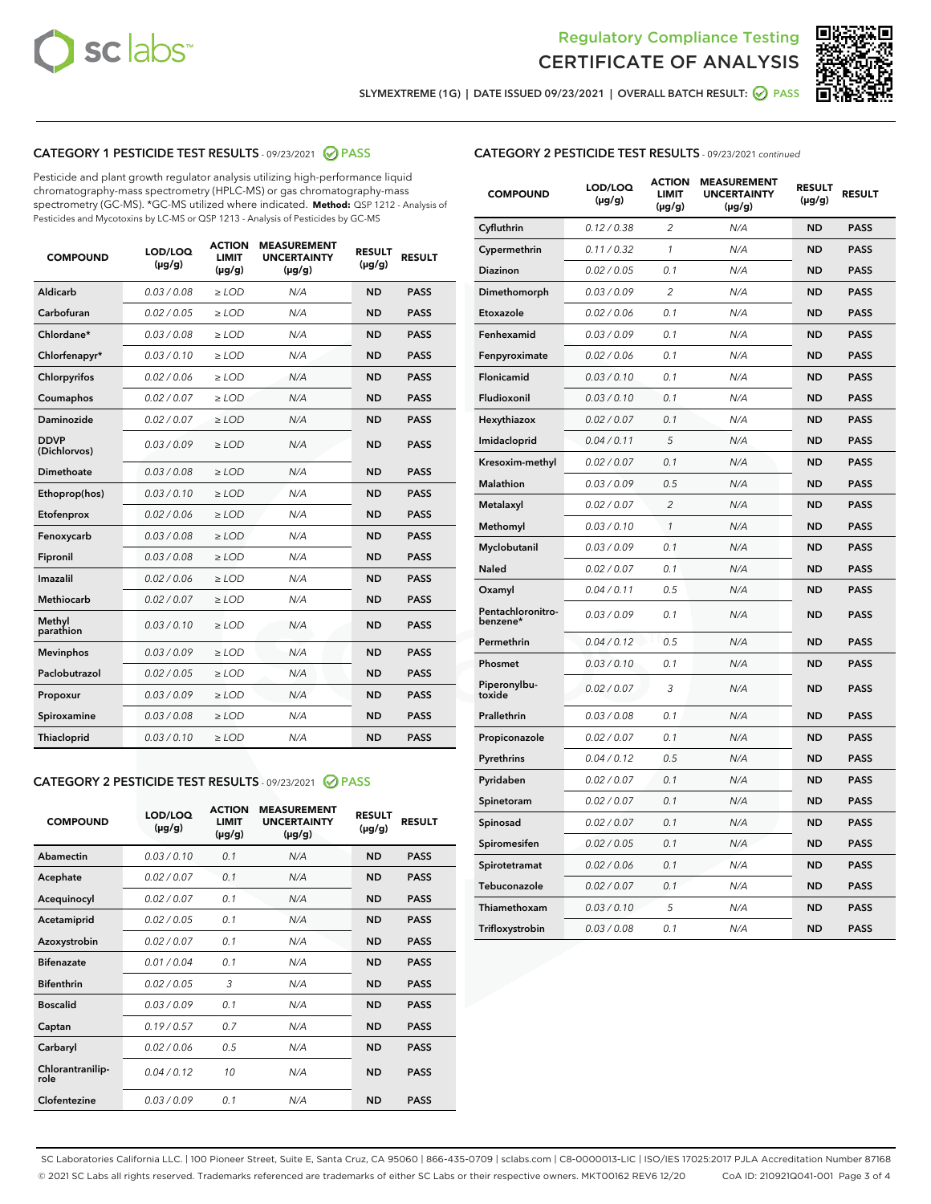



SLYMEXTREME (1G) | DATE ISSUED 09/23/2021 | OVERALL BATCH RESULT: 2 PASS

## CATEGORY 1 PESTICIDE TEST RESULTS - 09/23/2021 2 PASS

Pesticide and plant growth regulator analysis utilizing high-performance liquid chromatography-mass spectrometry (HPLC-MS) or gas chromatography-mass spectrometry (GC-MS). \*GC-MS utilized where indicated. **Method:** QSP 1212 - Analysis of Pesticides and Mycotoxins by LC-MS or QSP 1213 - Analysis of Pesticides by GC-MS

| <b>COMPOUND</b>             | LOD/LOQ<br>$(\mu g/g)$ | <b>ACTION</b><br><b>LIMIT</b><br>$(\mu g/g)$ | <b>MEASUREMENT</b><br><b>UNCERTAINTY</b><br>$(\mu g/g)$ | <b>RESULT</b><br>$(\mu g/g)$ | <b>RESULT</b> |
|-----------------------------|------------------------|----------------------------------------------|---------------------------------------------------------|------------------------------|---------------|
| Aldicarb                    | 0.03/0.08              | $>$ LOD                                      | N/A                                                     | <b>ND</b>                    | <b>PASS</b>   |
| Carbofuran                  | 0.02 / 0.05            | $\ge$ LOD                                    | N/A                                                     | <b>ND</b>                    | <b>PASS</b>   |
| Chlordane*                  | 0.03/0.08              | $>$ LOD                                      | N/A                                                     | <b>ND</b>                    | <b>PASS</b>   |
| Chlorfenapyr*               | 0.03/0.10              | $\ge$ LOD                                    | N/A                                                     | <b>ND</b>                    | <b>PASS</b>   |
| Chlorpyrifos                | 0.02 / 0.06            | $\ge$ LOD                                    | N/A                                                     | <b>ND</b>                    | <b>PASS</b>   |
| Coumaphos                   | 0.02 / 0.07            | $\ge$ LOD                                    | N/A                                                     | <b>ND</b>                    | <b>PASS</b>   |
| Daminozide                  | 0.02 / 0.07            | $\ge$ LOD                                    | N/A                                                     | <b>ND</b>                    | <b>PASS</b>   |
| <b>DDVP</b><br>(Dichlorvos) | 0.03/0.09              | $\ge$ LOD                                    | N/A                                                     | <b>ND</b>                    | <b>PASS</b>   |
| <b>Dimethoate</b>           | 0.03 / 0.08            | $\ge$ LOD                                    | N/A                                                     | <b>ND</b>                    | <b>PASS</b>   |
| Ethoprop(hos)               | 0.03/0.10              | $\ge$ LOD                                    | N/A                                                     | <b>ND</b>                    | <b>PASS</b>   |
| Etofenprox                  | 0.02 / 0.06            | $\ge$ LOD                                    | N/A                                                     | <b>ND</b>                    | <b>PASS</b>   |
| Fenoxycarb                  | 0.03 / 0.08            | $\ge$ LOD                                    | N/A                                                     | <b>ND</b>                    | <b>PASS</b>   |
| Fipronil                    | 0.03/0.08              | $>$ LOD                                      | N/A                                                     | <b>ND</b>                    | <b>PASS</b>   |
| Imazalil                    | 0.02 / 0.06            | $\ge$ LOD                                    | N/A                                                     | <b>ND</b>                    | <b>PASS</b>   |
| <b>Methiocarb</b>           | 0.02 / 0.07            | $\ge$ LOD                                    | N/A                                                     | <b>ND</b>                    | <b>PASS</b>   |
| Methyl<br>parathion         | 0.03/0.10              | $\ge$ LOD                                    | N/A                                                     | <b>ND</b>                    | <b>PASS</b>   |
| <b>Mevinphos</b>            | 0.03/0.09              | $\ge$ LOD                                    | N/A                                                     | <b>ND</b>                    | <b>PASS</b>   |
| Paclobutrazol               | 0.02 / 0.05            | $>$ LOD                                      | N/A                                                     | <b>ND</b>                    | <b>PASS</b>   |
| Propoxur                    | 0.03/0.09              | $\ge$ LOD                                    | N/A                                                     | <b>ND</b>                    | <b>PASS</b>   |
| Spiroxamine                 | 0.03 / 0.08            | $\ge$ LOD                                    | N/A                                                     | <b>ND</b>                    | <b>PASS</b>   |
| Thiacloprid                 | 0.03/0.10              | $\ge$ LOD                                    | N/A                                                     | <b>ND</b>                    | <b>PASS</b>   |

#### CATEGORY 2 PESTICIDE TEST RESULTS - 09/23/2021 @ PASS

| <b>COMPOUND</b>          | LOD/LOQ<br>$(\mu g/g)$ | <b>ACTION</b><br><b>LIMIT</b><br>$(\mu g/g)$ | <b>MEASUREMENT</b><br><b>UNCERTAINTY</b><br>$(\mu g/g)$ | <b>RESULT</b><br>$(\mu g/g)$ | <b>RESULT</b> |
|--------------------------|------------------------|----------------------------------------------|---------------------------------------------------------|------------------------------|---------------|
| Abamectin                | 0.03/0.10              | 0.1                                          | N/A                                                     | <b>ND</b>                    | <b>PASS</b>   |
| Acephate                 | 0.02/0.07              | 0.1                                          | N/A                                                     | <b>ND</b>                    | <b>PASS</b>   |
| Acequinocyl              | 0.02/0.07              | 0.1                                          | N/A                                                     | <b>ND</b>                    | <b>PASS</b>   |
| Acetamiprid              | 0.02/0.05              | 0.1                                          | N/A                                                     | <b>ND</b>                    | <b>PASS</b>   |
| Azoxystrobin             | 0.02/0.07              | 0.1                                          | N/A                                                     | <b>ND</b>                    | <b>PASS</b>   |
| <b>Bifenazate</b>        | 0.01/0.04              | 0.1                                          | N/A                                                     | <b>ND</b>                    | <b>PASS</b>   |
| <b>Bifenthrin</b>        | 0.02 / 0.05            | 3                                            | N/A                                                     | <b>ND</b>                    | <b>PASS</b>   |
| <b>Boscalid</b>          | 0.03/0.09              | 0.1                                          | N/A                                                     | <b>ND</b>                    | <b>PASS</b>   |
| Captan                   | 0.19/0.57              | 0.7                                          | N/A                                                     | <b>ND</b>                    | <b>PASS</b>   |
| Carbaryl                 | 0.02/0.06              | 0.5                                          | N/A                                                     | <b>ND</b>                    | <b>PASS</b>   |
| Chlorantranilip-<br>role | 0.04/0.12              | 10                                           | N/A                                                     | <b>ND</b>                    | <b>PASS</b>   |
| Clofentezine             | 0.03/0.09              | 0.1                                          | N/A                                                     | <b>ND</b>                    | <b>PASS</b>   |

| <b>CATEGORY 2 PESTICIDE TEST RESULTS</b> - 09/23/2021 continued |  |
|-----------------------------------------------------------------|--|
|                                                                 |  |

| <b>COMPOUND</b>               | LOD/LOQ<br>(µg/g) | <b>ACTION</b><br><b>LIMIT</b><br>(µg/g) | <b>MEASUREMENT</b><br><b>UNCERTAINTY</b><br>$(\mu g/g)$ | <b>RESULT</b><br>(µg/g) | <b>RESULT</b> |
|-------------------------------|-------------------|-----------------------------------------|---------------------------------------------------------|-------------------------|---------------|
| Cyfluthrin                    | 0.12 / 0.38       | $\overline{c}$                          | N/A                                                     | <b>ND</b>               | <b>PASS</b>   |
| Cypermethrin                  | 0.11 / 0.32       | $\mathcal{I}$                           | N/A                                                     | <b>ND</b>               | <b>PASS</b>   |
| <b>Diazinon</b>               | 0.02 / 0.05       | 0.1                                     | N/A                                                     | <b>ND</b>               | <b>PASS</b>   |
| Dimethomorph                  | 0.03 / 0.09       | 2                                       | N/A                                                     | <b>ND</b>               | <b>PASS</b>   |
| Etoxazole                     | 0.02 / 0.06       | 0.1                                     | N/A                                                     | <b>ND</b>               | <b>PASS</b>   |
| Fenhexamid                    | 0.03 / 0.09       | 0.1                                     | N/A                                                     | <b>ND</b>               | <b>PASS</b>   |
| Fenpyroximate                 | 0.02 / 0.06       | 0.1                                     | N/A                                                     | <b>ND</b>               | <b>PASS</b>   |
| Flonicamid                    | 0.03 / 0.10       | 0.1                                     | N/A                                                     | <b>ND</b>               | <b>PASS</b>   |
| Fludioxonil                   | 0.03/0.10         | 0.1                                     | N/A                                                     | <b>ND</b>               | <b>PASS</b>   |
| Hexythiazox                   | 0.02 / 0.07       | 0.1                                     | N/A                                                     | <b>ND</b>               | <b>PASS</b>   |
| Imidacloprid                  | 0.04 / 0.11       | 5                                       | N/A                                                     | <b>ND</b>               | <b>PASS</b>   |
| Kresoxim-methyl               | 0.02 / 0.07       | 0.1                                     | N/A                                                     | <b>ND</b>               | <b>PASS</b>   |
| <b>Malathion</b>              | 0.03 / 0.09       | 0.5                                     | N/A                                                     | <b>ND</b>               | <b>PASS</b>   |
| Metalaxyl                     | 0.02 / 0.07       | $\overline{c}$                          | N/A                                                     | <b>ND</b>               | <b>PASS</b>   |
| Methomyl                      | 0.03 / 0.10       | 1                                       | N/A                                                     | <b>ND</b>               | <b>PASS</b>   |
| Myclobutanil                  | 0.03 / 0.09       | 0.1                                     | N/A                                                     | <b>ND</b>               | <b>PASS</b>   |
| Naled                         | 0.02 / 0.07       | 0.1                                     | N/A                                                     | <b>ND</b>               | <b>PASS</b>   |
| Oxamyl                        | 0.04 / 0.11       | 0.5                                     | N/A                                                     | <b>ND</b>               | <b>PASS</b>   |
| Pentachloronitro-<br>benzene* | 0.03 / 0.09       | 0.1                                     | N/A                                                     | <b>ND</b>               | <b>PASS</b>   |
| Permethrin                    | 0.04 / 0.12       | 0.5                                     | N/A                                                     | <b>ND</b>               | <b>PASS</b>   |
| Phosmet                       | 0.03 / 0.10       | 0.1                                     | N/A                                                     | <b>ND</b>               | <b>PASS</b>   |
| Piperonylbu-<br>toxide        | 0.02 / 0.07       | 3                                       | N/A                                                     | <b>ND</b>               | <b>PASS</b>   |
| Prallethrin                   | 0.03 / 0.08       | 0.1                                     | N/A                                                     | <b>ND</b>               | <b>PASS</b>   |
| Propiconazole                 | 0.02 / 0.07       | 0.1                                     | N/A                                                     | <b>ND</b>               | <b>PASS</b>   |
| Pyrethrins                    | 0.04 / 0.12       | 0.5                                     | N/A                                                     | <b>ND</b>               | <b>PASS</b>   |
| Pyridaben                     | 0.02 / 0.07       | 0.1                                     | N/A                                                     | <b>ND</b>               | <b>PASS</b>   |
| Spinetoram                    | 0.02 / 0.07       | 0.1                                     | N/A                                                     | <b>ND</b>               | <b>PASS</b>   |
| Spinosad                      | 0.02 / 0.07       | 0.1                                     | N/A                                                     | <b>ND</b>               | <b>PASS</b>   |
| Spiromesifen                  | 0.02 / 0.05       | 0.1                                     | N/A                                                     | <b>ND</b>               | <b>PASS</b>   |
| Spirotetramat                 | 0.02 / 0.06       | 0.1                                     | N/A                                                     | <b>ND</b>               | <b>PASS</b>   |
| Tebuconazole                  | 0.02 / 0.07       | 0.1                                     | N/A                                                     | <b>ND</b>               | <b>PASS</b>   |
| Thiamethoxam                  | 0.03 / 0.10       | 5                                       | N/A                                                     | <b>ND</b>               | <b>PASS</b>   |
| Trifloxystrobin               | 0.03 / 0.08       | 0.1                                     | N/A                                                     | <b>ND</b>               | <b>PASS</b>   |

SC Laboratories California LLC. | 100 Pioneer Street, Suite E, Santa Cruz, CA 95060 | 866-435-0709 | sclabs.com | C8-0000013-LIC | ISO/IES 17025:2017 PJLA Accreditation Number 87168 © 2021 SC Labs all rights reserved. Trademarks referenced are trademarks of either SC Labs or their respective owners. MKT00162 REV6 12/20 CoA ID: 210921Q041-001 Page 3 of 4